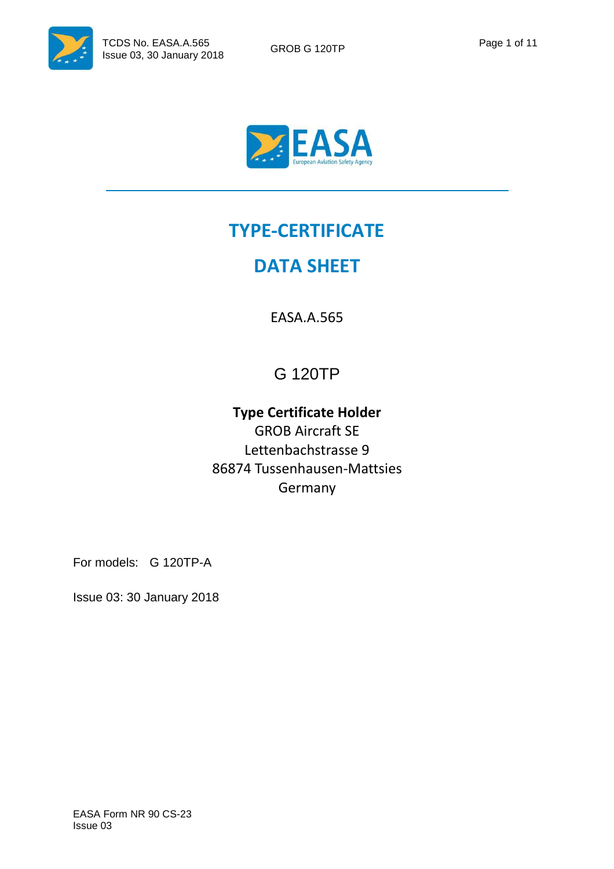



# **TYPE-CERTIFICATE**

## **DATA SHEET**

EASA.A.565

## G 120TP

## **Type Certificate Holder**  GROB Aircraft SE Lettenbachstrasse 9 86874 Tussenhausen-Mattsies

Germany

For models: G 120TP-A

Issue 03: 30 January 2018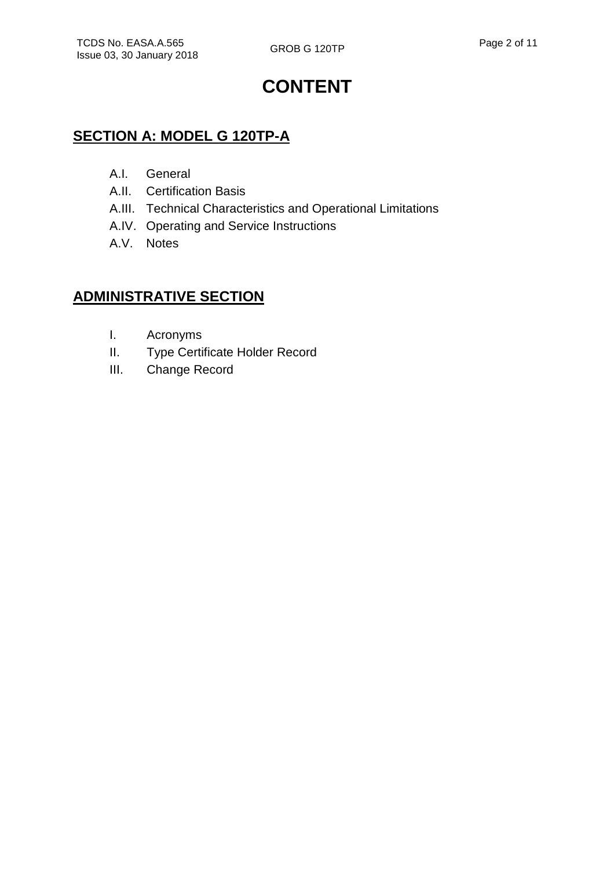# **CONTENT**

### **SECTION A: MODEL G 120TP-A**

- A.I. General
- A.II. Certification Basis
- A.III. Technical Characteristics and Operational Limitations
- A.IV. Operating and Service Instructions
- A.V. Notes

### **ADMINISTRATIVE SECTION**

- I. Acronyms
- II. Type Certificate Holder Record
- III. Change Record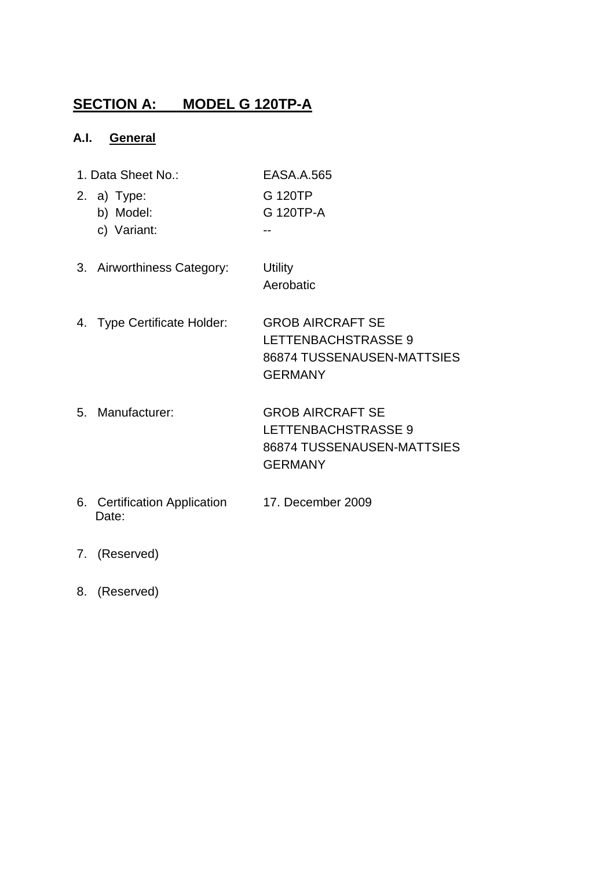## **SECTION A: MODEL G 120TP-A**

#### **A.I. General**

- 1. Data Sheet No.: EASA.A.565
- 2. a) Type: G 120TP
	- b) Model: G 120TP-A -
		- c) Variant:
- 3. Airworthiness Category: Utility Aerobatic
- 4. Type Certificate Holder: GROB AIRCRAFT SE LETTENBACHSTRASSE 9 86874 TUSSENAUSEN-MATTSIES GERMANY
- 5. Manufacturer: GROB AIRCRAFT SE LETTENBACHSTRASSE 9 86874 TUSSENAUSEN-MATTSIES GERMANY
- 6. Certification Application 17. December 2009 Date:
- 7. (Reserved)
- 8. (Reserved)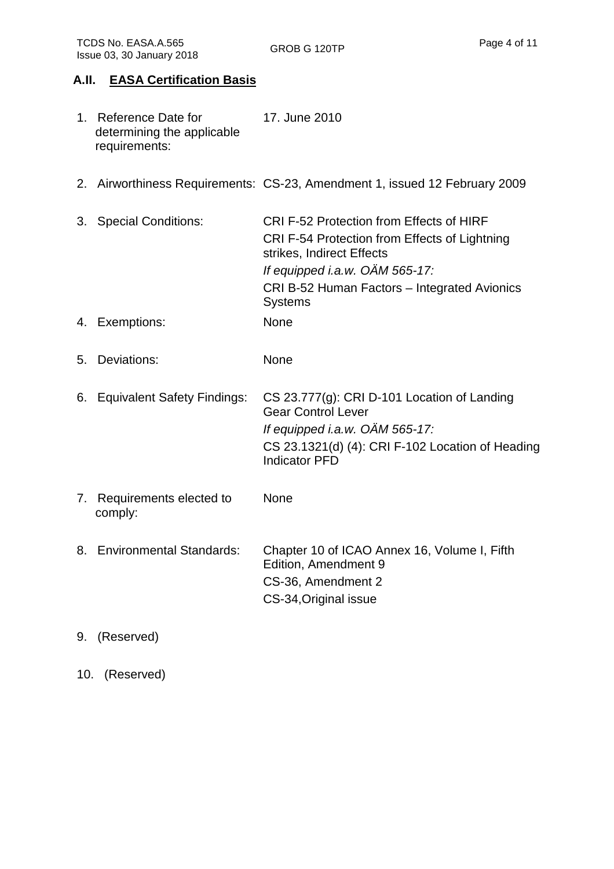#### **A.II. EASA Certification Basis**

| 1. Reference Date for      | 17. June 2010 |
|----------------------------|---------------|
| determining the applicable |               |
| requirements:              |               |

- 2. Airworthiness Requirements: CS-23, Amendment 1, issued 12 February 2009
- 3. Special Conditions: CRI F-52 Protection from Effects of HIRF CRI F-54 Protection from Effects of Lightning strikes, Indirect Effects If equipped i.a.w. OÄM 565-17: CRI B-52 Human Factors – Integrated Avionics **Systems**
- 4. Exemptions: None
- 5. Deviations: None
- 6. Equivalent Safety Findings: CS 23.777(g): CRI D-101 Location of Landing Gear Control Lever If equipped i.a.w. OÄM 565-17: CS 23.1321(d) (4): CRI F-102 Location of Heading Indicator PFD
- 7. Requirements elected to comply: None
- 8. Environmental Standards: Chapter 10 of ICAO Annex 16, Volume I, Fifth Edition, Amendment 9 CS-36, Amendment 2 CS-34,Original issue
- 9. (Reserved)
- 10. (Reserved)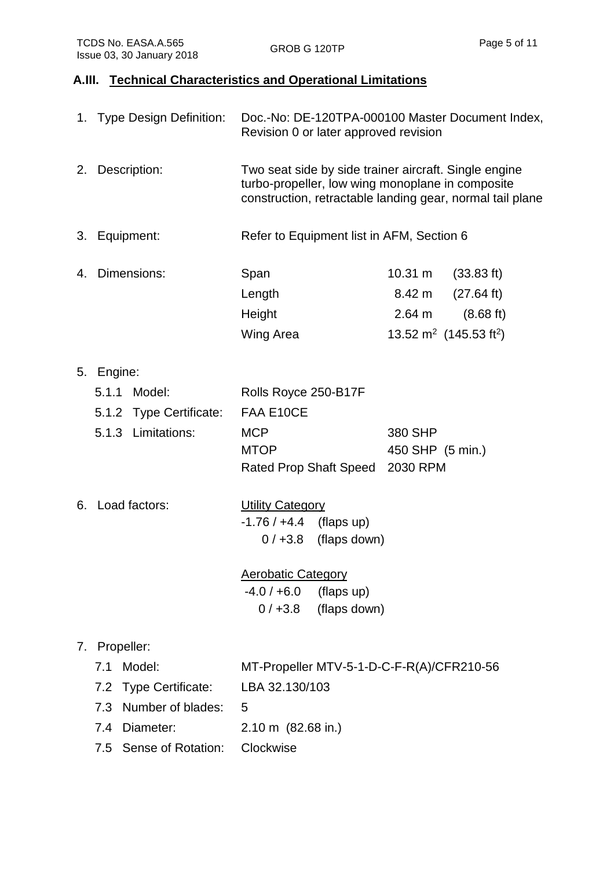### **A.III. Technical Characteristics and Operational Limitations**

|    | 1. Type Design Definition:                                                                                                                  | Doc.-No: DE-120TPA-000100 Master Document Index,<br>Revision 0 or later approved revision                                                                                           |  |  |
|----|---------------------------------------------------------------------------------------------------------------------------------------------|-------------------------------------------------------------------------------------------------------------------------------------------------------------------------------------|--|--|
| 2. | Description:                                                                                                                                | Two seat side by side trainer aircraft. Single engine<br>turbo-propeller, low wing monoplane in composite<br>construction, retractable landing gear, normal tail plane              |  |  |
| 3. | Equipment:                                                                                                                                  | Refer to Equipment list in AFM, Section 6                                                                                                                                           |  |  |
| 4. | Dimensions:                                                                                                                                 | Span<br>$10.31 \text{ m}$<br>(33.83 ft)<br>(27.64 ft)<br>Length<br>8.42 m<br>Height<br>2.64 m<br>$(8.68 \text{ ft})$<br>13.52 m <sup>2</sup> (145.53 ft <sup>2</sup> )<br>Wing Area |  |  |
|    | 5. Engine:<br>5.1.1 Model:<br>5.1.2 Type Certificate:<br>5.1.3 Limitations:                                                                 | Rolls Royce 250-B17F<br>FAA E10CE<br><b>MCP</b><br>380 SHP<br><b>MTOP</b><br>450 SHP (5 min.)<br>2030 RPM<br>Rated Prop Shaft Speed                                                 |  |  |
|    | 6. Load factors:                                                                                                                            | <b>Utility Category</b><br>$-1.76 / +4.4$ (flaps up)<br>$0/+3.8$ (flaps down)<br><b>Aerobatic Category</b><br>$-4.0 / +6.0$<br>(flaps up)<br>$0/ +3.8$<br>(flaps down)              |  |  |
| 7. | Propeller:<br>Model:<br>7.1<br><b>Type Certificate:</b><br>7.2<br>Number of blades:<br>7.3<br>Diameter:<br>7.4<br>Sense of Rotation:<br>7.5 | MT-Propeller MTV-5-1-D-C-F-R(A)/CFR210-56<br>LBA 32.130/103<br>5<br>$2.10 \text{ m}$ (82.68 in.)<br>Clockwise                                                                       |  |  |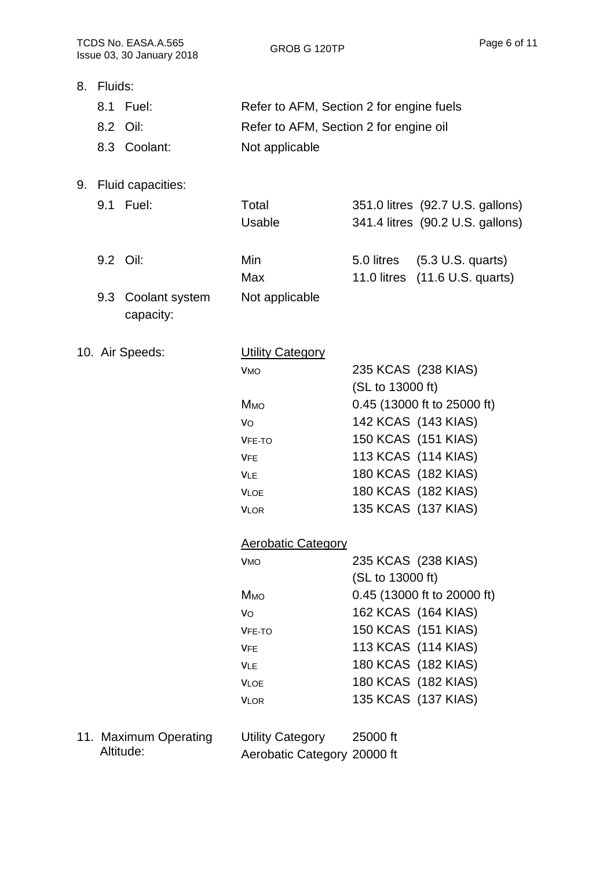|            | Issue 03, 30 January 2018 | <b>GROB G 1201P</b>                      |                  |                                  |
|------------|---------------------------|------------------------------------------|------------------|----------------------------------|
| 8. Fluids: |                           |                                          |                  |                                  |
|            | 8.1 Fuel:                 | Refer to AFM, Section 2 for engine fuels |                  |                                  |
|            | 8.2 Oil:                  | Refer to AFM, Section 2 for engine oil   |                  |                                  |
|            | 8.3 Coolant:              | Not applicable                           |                  |                                  |
|            |                           |                                          |                  |                                  |
|            | 9. Fluid capacities:      |                                          |                  |                                  |
|            | 9.1 Fuel:                 | Total                                    |                  | 351.0 litres (92.7 U.S. gallons) |
|            |                           | <b>Usable</b>                            |                  | 341.4 litres (90.2 U.S. gallons) |
|            |                           |                                          |                  |                                  |
|            | 9.2 Oil:                  | Min                                      |                  | 5.0 litres (5.3 U.S. quarts)     |
|            |                           | Max                                      |                  | 11.0 litres (11.6 U.S. quarts)   |
|            | 9.3 Coolant system        | Not applicable                           |                  |                                  |
|            | capacity:                 |                                          |                  |                                  |
|            |                           |                                          |                  |                                  |
|            | 10. Air Speeds:           | <b>Utility Category</b>                  |                  |                                  |
|            |                           | <b>VMO</b>                               |                  | 235 KCAS (238 KIAS)              |
|            |                           |                                          | (SL to 13000 ft) |                                  |
|            |                           | Ммо                                      |                  | 0.45 (13000 ft to 25000 ft)      |
|            |                           | VO                                       |                  | 142 KCAS (143 KIAS)              |
|            |                           | VFE-TO                                   |                  | 150 KCAS (151 KIAS)              |
|            |                           | <b>VFE</b>                               |                  | 113 KCAS (114 KIAS)              |
|            |                           | <b>VLE</b>                               |                  | 180 KCAS (182 KIAS)              |
|            |                           | <b>VLOE</b>                              |                  | 180 KCAS (182 KIAS)              |
|            |                           | <b>VLOR</b>                              |                  | 135 KCAS (137 KIAS)              |
|            |                           | <b>Aerobatic Category</b>                |                  |                                  |
|            |                           | <b>VMO</b>                               |                  | 235 KCAS (238 KIAS)              |
|            |                           |                                          | (SL to 13000 ft) |                                  |
|            |                           | <b>M</b> <sub>MO</sub>                   |                  | 0.45 (13000 ft to 20000 ft)      |
|            |                           | VO                                       |                  | 162 KCAS (164 KIAS)              |
|            |                           | <b>VFE-TO</b>                            |                  | 150 KCAS (151 KIAS)              |
|            |                           | <b>VFE</b>                               |                  | 113 KCAS (114 KIAS)              |
|            |                           | <b>VLE</b>                               |                  | 180 KCAS (182 KIAS)              |
|            |                           | <b>VLOE</b>                              |                  | 180 KCAS (182 KIAS)              |
|            |                           | <b>VLOR</b>                              |                  | 135 KCAS (137 KIAS)              |
|            |                           |                                          |                  |                                  |
|            | 11. Maximum Operating     | <b>Utility Category</b>                  | 25000 ft         |                                  |
|            | Altitude:                 | Aerobatic Category 20000 ft              |                  |                                  |

Aerobatic Category 20000 ft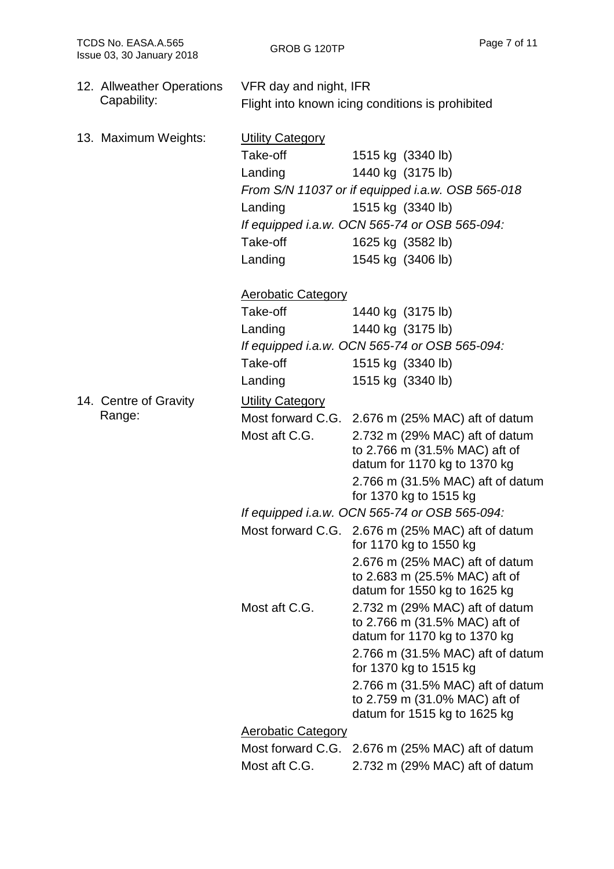| 12. Allweather Operations | VFR day and night, IFR                           |                                                                                                   |  |
|---------------------------|--------------------------------------------------|---------------------------------------------------------------------------------------------------|--|
| Capability:               | Flight into known icing conditions is prohibited |                                                                                                   |  |
| 13. Maximum Weights:      | <b>Utility Category</b>                          |                                                                                                   |  |
|                           | Take-off                                         | 1515 kg (3340 lb)                                                                                 |  |
|                           | Landing                                          | 1440 kg (3175 lb)                                                                                 |  |
|                           |                                                  | From S/N 11037 or if equipped i.a.w. OSB 565-018                                                  |  |
|                           | Landing                                          | 1515 kg (3340 lb)                                                                                 |  |
|                           |                                                  | If equipped i.a.w. OCN 565-74 or OSB 565-094:                                                     |  |
|                           | Take-off                                         | 1625 kg (3582 lb)                                                                                 |  |
|                           | Landing                                          | 1545 kg (3406 lb)                                                                                 |  |
|                           | <b>Aerobatic Category</b>                        |                                                                                                   |  |
|                           | Take-off                                         | 1440 kg (3175 lb)                                                                                 |  |
|                           | Landing                                          | 1440 kg (3175 lb)                                                                                 |  |
|                           |                                                  | If equipped i.a.w. OCN 565-74 or OSB 565-094:                                                     |  |
|                           | Take-off                                         | 1515 kg (3340 lb)                                                                                 |  |
|                           | Landing                                          | 1515 kg (3340 lb)                                                                                 |  |
| 14. Centre of Gravity     | <b>Utility Category</b>                          |                                                                                                   |  |
| Range:                    |                                                  | Most forward C.G. 2.676 m (25% MAC) aft of datum                                                  |  |
|                           | Most aft C.G.                                    | 2.732 m (29% MAC) aft of datum<br>to 2.766 m (31.5% MAC) aft of<br>datum for 1170 kg to 1370 kg   |  |
|                           |                                                  | 2.766 m (31.5% MAC) aft of datum                                                                  |  |
|                           |                                                  | for 1370 kg to 1515 kg                                                                            |  |
|                           |                                                  | If equipped i.a.w. OCN 565-74 or OSB 565-094:                                                     |  |
|                           |                                                  | Most forward C.G. 2.676 m (25% MAC) aft of datum<br>for 1170 kg to 1550 kg                        |  |
|                           |                                                  | 2.676 m (25% MAC) aft of datum<br>to 2.683 m (25.5% MAC) aft of<br>datum for 1550 kg to 1625 kg   |  |
|                           | Most aft C.G.                                    | 2.732 m (29% MAC) aft of datum<br>to 2.766 m (31.5% MAC) aft of<br>datum for 1170 kg to 1370 kg   |  |
|                           |                                                  | 2.766 m (31.5% MAC) aft of datum<br>for 1370 kg to 1515 kg                                        |  |
|                           |                                                  | 2.766 m (31.5% MAC) aft of datum<br>to 2.759 m (31.0% MAC) aft of<br>datum for 1515 kg to 1625 kg |  |
|                           | <b>Aerobatic Category</b>                        |                                                                                                   |  |
|                           |                                                  | Most forward C.G. 2.676 m (25% MAC) aft of datum                                                  |  |
|                           | Most aft C.G.                                    | 2.732 m (29% MAC) aft of datum                                                                    |  |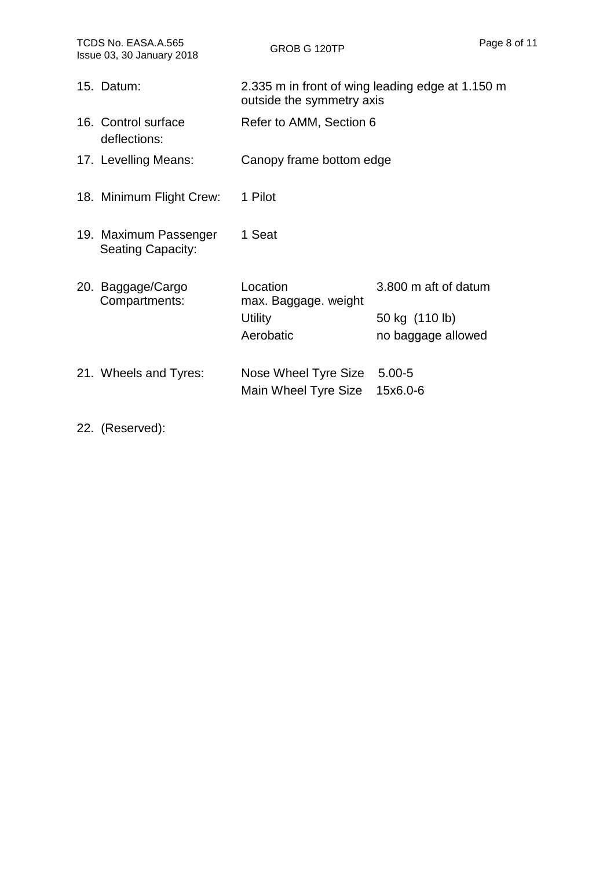| TCDS No. EASA.A.565<br>Issue 03, 30 January 2018 |                                                   | GROB G 120TP                                                                  |                                        | Page 8 of 11 |
|--------------------------------------------------|---------------------------------------------------|-------------------------------------------------------------------------------|----------------------------------------|--------------|
|                                                  | 15. Datum:                                        | 2.335 m in front of wing leading edge at 1.150 m<br>outside the symmetry axis |                                        |              |
|                                                  | 16. Control surface<br>deflections:               | Refer to AMM, Section 6                                                       |                                        |              |
|                                                  | 17. Levelling Means:                              | Canopy frame bottom edge                                                      |                                        |              |
|                                                  | 18. Minimum Flight Crew:                          | 1 Pilot                                                                       |                                        |              |
|                                                  | 19. Maximum Passenger<br><b>Seating Capacity:</b> | 1 Seat                                                                        |                                        |              |
|                                                  | 20. Baggage/Cargo<br>Compartments:                | Location<br>max. Baggage. weight<br><b>Utility</b>                            | 3.800 m aft of datum<br>50 kg (110 lb) |              |
|                                                  |                                                   | Aerobatic                                                                     | no baggage allowed                     |              |
|                                                  | 21. Wheels and Tyres:                             | Nose Wheel Tyre Size<br>Main Wheel Tyre Size                                  | $5.00 - 5$<br>15x6.0-6                 |              |

22. (Reserved):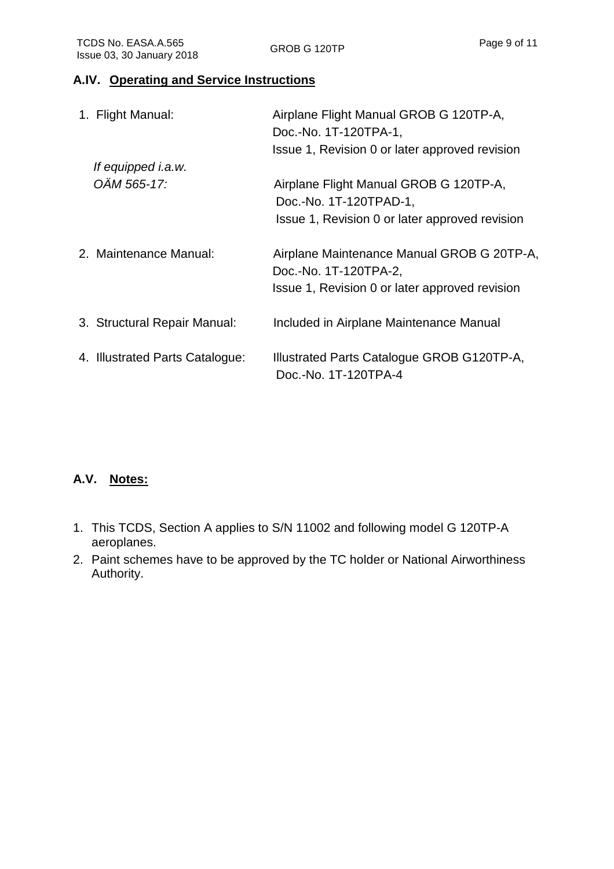#### **A.IV. Operating and Service Instructions**

| 1. Flight Manual:               | Airplane Flight Manual GROB G 120TP-A,                              |
|---------------------------------|---------------------------------------------------------------------|
|                                 | Doc.-No. 1T-120TPA-1,                                               |
|                                 | Issue 1, Revision 0 or later approved revision                      |
| If equipped <i>i.a.w.</i>       |                                                                     |
| OÄM 565-17:                     | Airplane Flight Manual GROB G 120TP-A,                              |
|                                 | Doc.-No. 1T-120TPAD-1,                                              |
|                                 | Issue 1, Revision 0 or later approved revision                      |
| 2. Maintenance Manual:          | Airplane Maintenance Manual GROB G 20TP-A,<br>Doc.-No. 1T-120TPA-2, |
|                                 | Issue 1, Revision 0 or later approved revision                      |
| 3. Structural Repair Manual:    | Included in Airplane Maintenance Manual                             |
| 4. Illustrated Parts Catalogue: | Illustrated Parts Catalogue GROB G120TP-A,<br>Doc.-No. 1T-120TPA-4  |

#### **A.V. Notes:**

- 1. This TCDS, Section A applies to S/N 11002 and following model G 120TP-A aeroplanes.
- 2. Paint schemes have to be approved by the TC holder or National Airworthiness Authority.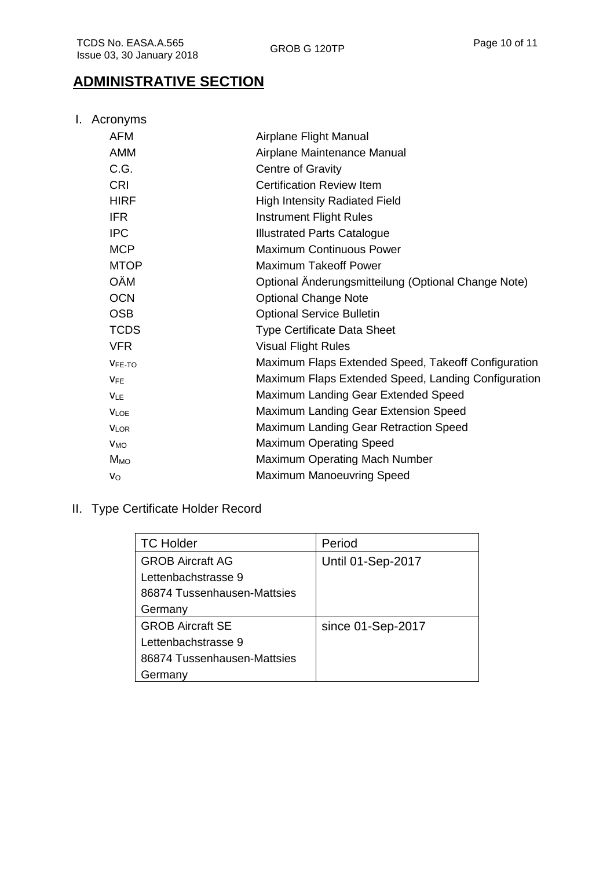## **ADMINISTRATIVE SECTION**

I. Acronyms

| Airplane Flight Manual                              |
|-----------------------------------------------------|
| Airplane Maintenance Manual                         |
| Centre of Gravity                                   |
| <b>Certification Review Item</b>                    |
| <b>High Intensity Radiated Field</b>                |
| <b>Instrument Flight Rules</b>                      |
| <b>Illustrated Parts Catalogue</b>                  |
| <b>Maximum Continuous Power</b>                     |
| <b>Maximum Takeoff Power</b>                        |
| Optional Änderungsmitteilung (Optional Change Note) |
| <b>Optional Change Note</b>                         |
| <b>Optional Service Bulletin</b>                    |
| <b>Type Certificate Data Sheet</b>                  |
| <b>Visual Flight Rules</b>                          |
| Maximum Flaps Extended Speed, Takeoff Configuration |
| Maximum Flaps Extended Speed, Landing Configuration |
| Maximum Landing Gear Extended Speed                 |
| Maximum Landing Gear Extension Speed                |
| Maximum Landing Gear Retraction Speed               |
| <b>Maximum Operating Speed</b>                      |
| Maximum Operating Mach Number                       |
| <b>Maximum Manoeuvring Speed</b>                    |
|                                                     |

II. Type Certificate Holder Record

| <b>TC Holder</b>            | Period                   |
|-----------------------------|--------------------------|
| <b>GROB Aircraft AG</b>     | <b>Until 01-Sep-2017</b> |
| Lettenbachstrasse 9         |                          |
| 86874 Tussenhausen-Mattsies |                          |
| Germany                     |                          |
| <b>GROB Aircraft SE</b>     | since 01-Sep-2017        |
| Lettenbachstrasse 9         |                          |
| 86874 Tussenhausen-Mattsies |                          |
| Germany                     |                          |